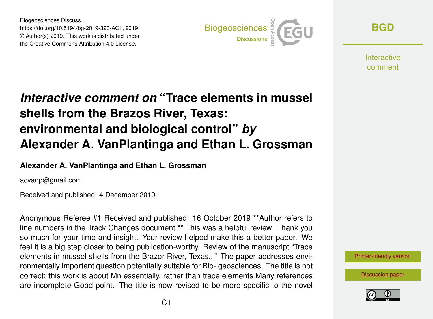Biogeosciences Discuss., https://doi.org/10.5194/bg-2019-323-AC1, 2019 © Author(s) 2019. This work is distributed under the Creative Commons Attribution 4.0 License.



**[BGD](https://www.biogeosciences-discuss.net/)**

**Interactive** comment

# *Interactive comment on* **"Trace elements in mussel shells from the Brazos River, Texas: environmental and biological control"** *by* **Alexander A. VanPlantinga and Ethan L. Grossman**

### **Alexander A. VanPlantinga and Ethan L. Grossman**

acvanp@gmail.com

Received and published: 4 December 2019

Anonymous Referee #1 Received and published: 16 October 2019 \*\*Author refers to line numbers in the Track Changes document.\*\* This was a helpful review. Thank you so much for your time and insight. Your review helped make this a better paper. We feel it is a big step closer to being publication-worthy. Review of the manuscript "Trace elements in mussel shells from the Brazor River, Texas..." The paper addresses environmentally important question potentially suitable for Bio- geosciences. The title is not correct: this work is about Mn essentially, rather than trace elements Many references are incomplete Good point. The title is now revised to be more specific to the novel



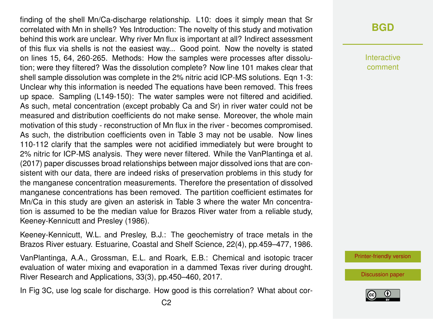finding of the shell Mn/Ca-discharge relationship. L10: does it simply mean that Sr correlated with Mn in shells? Yes Introduction: The novelty of this study and motivation behind this work are unclear. Why river Mn flux is important at all? Indirect assessment of this flux via shells is not the easiest way... Good point. Now the novelty is stated on lines 15, 64, 260-265. Methods: How the samples were processes after dissolution; were they filtered? Was the dissolution complete? Now line 101 makes clear that shell sample dissolution was complete in the 2% nitric acid ICP-MS solutions. Eqn 1-3: Unclear why this information is needed The equations have been removed. This frees up space. Sampling (L149-150): The water samples were not filtered and acidified. As such, metal concentration (except probably Ca and Sr) in river water could not be measured and distribution coefficients do not make sense. Moreover, the whole main motivation of this study - reconstruction of Mn flux in the river - becomes compromised. As such, the distribution coefficients oven in Table 3 may not be usable. Now lines 110-112 clarify that the samples were not acidified immediately but were brought to 2% nitric for ICP-MS analysis. They were never filtered. While the VanPlantinga et al. (2017) paper discusses broad relationships between major dissolved ions that are consistent with our data, there are indeed risks of preservation problems in this study for the manganese concentration measurements. Therefore the presentation of dissolved manganese concentrations has been removed. The partition coefficient estimates for Mn/Ca in this study are given an asterisk in Table 3 where the water Mn concentration is assumed to be the median value for Brazos River water from a reliable study, Keeney-Kennicutt and Presley (1986).

Keeney-Kennicutt, W.L. and Presley, B.J.: The geochemistry of trace metals in the Brazos River estuary. Estuarine, Coastal and Shelf Science, 22(4), pp.459–477, 1986.

VanPlantinga, A.A., Grossman, E.L. and Roark, E.B.: Chemical and isotopic tracer evaluation of water mixing and evaporation in a dammed Texas river during drought. River Research and Applications, 33(3), pp.450–460, 2017.

In Fig 3C, use log scale for discharge. How good is this correlation? What about cor-

## **[BGD](https://www.biogeosciences-discuss.net/)**

Interactive comment

[Printer-friendly version](https://www.biogeosciences-discuss.net/bg-2019-323/bg-2019-323-AC1-print.pdf)

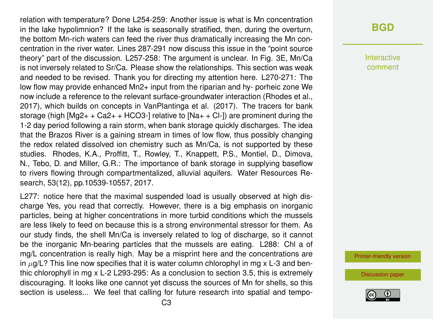relation with temperature? Done L254-259: Another issue is what is Mn concentration in the lake hypolimnion? If the lake is seasonally stratified, then, during the overturn, the bottom Mn-rich waters can feed the river thus dramatically increasing the Mn concentration in the river water. Lines 287-291 now discuss this issue in the "point source theory" part of the discussion. L257-258: The argument is unclear. In Fig. 3E, Mn/Ca is not inversely related to Sr/Ca. Please show the relationships. This section was weak and needed to be revised. Thank you for directing my attention here. L270-271: The low flow may provide enhanced Mn2+ input from the riparian and hy- porheic zone We now include a reference to the relevant surface-groundwater interaction (Rhodes et al., 2017), which builds on concepts in VanPlantinga et al. (2017). The tracers for bank storage (high  $[Mq2++Cq2++HCq3-]$  relative to  $[Nq+Cq-]$ ) are prominent during the 1-2 day period following a rain storm, when bank storage quickly discharges. The idea that the Brazos River is a gaining stream in times of low flow, thus possibly changing the redox related dissolved ion chemistry such as Mn/Ca, is not supported by these studies. Rhodes, K.A., Proffitt, T., Rowley, T., Knappett, P.S., Montiel, D., Dimova, N., Tebo, D. and Miller, G.R.: The importance of bank storage in supplying baseflow to rivers flowing through compartmentalized, alluvial aquifers. Water Resources Research, 53(12), pp.10539-10557, 2017.

L277: notice here that the maximal suspended load is usually observed at high discharge Yes, you read that correctly. However, there is a big emphasis on inorganic particles, being at higher concentrations in more turbid conditions which the mussels are less likely to feed on because this is a strong environmental stressor for them. As our study finds, the shell Mn/Ca is inversely related to log of discharge, so it cannot be the inorganic Mn-bearing particles that the mussels are eating. L288: Chl a of mg/L concentration is really high. May be a misprint here and the concentrations are in  $\mu$ g/L? This line now specifies that it is water column chlorophyl in mg x L-3 and benthic chlorophyll in mg x L-2 L293-295: As a conclusion to section 3.5, this is extremely discouraging. It looks like one cannot yet discuss the sources of Mn for shells, so this section is useless... We feel that calling for future research into spatial and tempo-

## **[BGD](https://www.biogeosciences-discuss.net/)**

Interactive comment

[Printer-friendly version](https://www.biogeosciences-discuss.net/bg-2019-323/bg-2019-323-AC1-print.pdf)

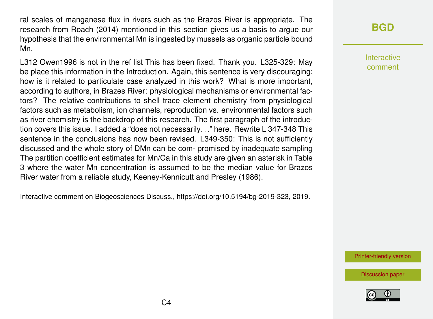ral scales of manganese flux in rivers such as the Brazos River is appropriate. The research from Roach (2014) mentioned in this section gives us a basis to argue our hypothesis that the environmental Mn is ingested by mussels as organic particle bound Mn.

L312 Owen1996 is not in the ref list This has been fixed. Thank you. L325-329: May be place this information in the Introduction. Again, this sentence is very discouraging: how is it related to particulate case analyzed in this work? What is more important, according to authors, in Brazes River: physiological mechanisms or environmental factors? The relative contributions to shell trace element chemistry from physiological factors such as metabolism, ion channels, reproduction vs. environmental factors such as river chemistry is the backdrop of this research. The first paragraph of the introduction covers this issue. I added a "does not necessarily. . ." here. Rewrite L 347-348 This sentence in the conclusions has now been revised. L349-350: This is not sufficiently discussed and the whole story of DMn can be com- promised by inadequate sampling The partition coefficient estimates for Mn/Ca in this study are given an asterisk in Table 3 where the water Mn concentration is assumed to be the median value for Brazos River water from a reliable study, Keeney-Kennicutt and Presley (1986).

## **[BGD](https://www.biogeosciences-discuss.net/)**

Interactive comment

[Printer-friendly version](https://www.biogeosciences-discuss.net/bg-2019-323/bg-2019-323-AC1-print.pdf)



Interactive comment on Biogeosciences Discuss., https://doi.org/10.5194/bg-2019-323, 2019.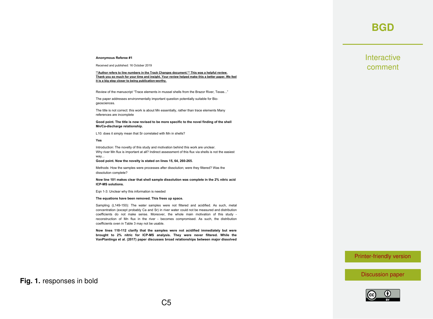### **[BGD](https://www.biogeosciences-discuss.net/)**

#### **Anonymous Referee #1**

Received and published: 16 October 2019

**\*\*Author refers to line numbers in the Track Changes document.\*\* This was a helpful review.** Thank you so much for your time and insight. Your review helped make this a better paper. We feel **it is a big step closer to being publication-worthy.**

Review of the manuscript "Trace elements in mussel shells from the Brazor River, Texas..."

The paper addresses environmentally important question potentially suitable for Biogeosciences.

The title is not correct: this work is about Mn essentially, rather than trace elements Many references are incomplete

**Good point. The title is now revised to be more specific to the novel finding of the shell Mn/Ca-discharge relationship.**

L10: does it simply mean that Sr correlated with Mn in shells?

#### **Yes**

Introduction: The novelty of this study and motivation behind this work are unclear. Why river Mn flux is important at all? Indirect assessment of this flux via shells is not the easiest way...

**Good point. Now the novelty is stated on lines 15, 64, 260-265.**

Methods: How the samples were processes after dissolution; were they filtered? Was the dissolution complete?

#### **Now line 101 makes clear that shell sample dissolution was complete in the 2% nitric acid ICP-MS solutions.**

Eqn 1-3: Unclear why this information is needed

#### **The equations have been removed. This frees up space.**

Sampling (L149-150): The water samples were not filtered and acidified. As such, metal concentration (except probably Ca and Sr) in river water could not be measured and distribution coefficients do not make sense. Moreover, the whole main motivation of this study reconstruction of Mn flux in the river - becomes compromised. As such, the distribution coefficients oven in Table 3 may not be usable.

**Now lines 110-112 clarify that the samples were not acidified immediately but were brought to 2% nitric for ICP-MS analysis. They were never filtered. While the VanPlantinga et al. (2017) paper discusses broad relationships between major dissolved**

### [Printer-friendly version](https://www.biogeosciences-discuss.net/bg-2019-323/bg-2019-323-AC1-print.pdf)

[Discussion paper](https://www.biogeosciences-discuss.net/bg-2019-323)



### **Fig. 1.** responses in bold

**Interactive** comment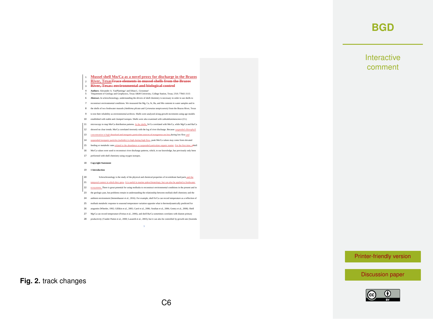## **[BGD](https://www.biogeosciences-discuss.net/)**

### **Interactive** comment

### [Printer-friendly version](https://www.biogeosciences-discuss.net/bg-2019-323/bg-2019-323-AC1-print.pdf)

[Discussion paper](https://www.biogeosciences-discuss.net/bg-2019-323)



#### <sup>3</sup> **River, Texas: environmental and biological control** 4 **Authors:** Alexander A. VanPlantinga<sup>1</sup> and Ethan L. Grossman<sup>1</sup><br>5 <sup>1</sup> Department of Geology and Geophysics, Texas A&M University, College Station, Texas, USA 77843-3115 5 6 **Abstract.** In sclerochronology, understanding the drivers of shell chemistry is necessary in order to use shells to 7 reconstruct environmental conditions. We measured the Mg, Ca, Sr, Ba, and Mn contents in water samples and in 8 the shells of two freshwater mussels (*Amblema plicata* and *Cyrtonaias tampicoensis)* from the Brazos River, Texas 9 to test their reliability as environmental archives. Shells were analyzed along growth increments using age models 10 established with stable and clumped isotopes. Shells were also examined with cathodoluminescence (CL) 11 microscopy to map Mn/Ca distribution patterns. In the shells, Sr/Ca correlated with Mn/Ca, while Mg/Ca and Ba/Ca 12 showed no clear trends. Mn/Ca correlated inversely with the log of river discharge. Because su 13 concentration is high dissolved and inorganic particulate sources of manganese are low during low flow and 14 suspended inorganic particles (turbidity) is high during high flow, peak Mn/Ca values may come from elevated 15 feeding or metabolic rates related to the abundance or suspended particulate organic matter. For the first time, sShell 16 Mn/Ca values were used to reconstruct river discharge patterns, which, to our knowledge, has previously only been 17 performed with shell chemistry using oxygen isotopes. 18 **Copyright Statement** 19 **1 Introduction** 20 Sclerochronology is the study of the physical and chemical properties of invertebrate hard parts and the 21 temporal context in which they grew. It is useful in marine paleoclimatology, but can also be applied to freshwa 22 ecosystems. There is great potential for using mollusks to reconstruct environmental conditions in the present and in 23 the geologic past, but problems remain in understanding the relationship between mollusk shell chemistry and the

<sup>1</sup> **Mussel shell Mn/Ca as a novel proxy for discharge in the Brazos**  <sup>2</sup> **River, TexasTrace elements in mussel shells from the Brazos** 

- 24 ambient environment (Immenhauser et al., 2016). For example, shell Sr/Ca can record temperature as a reflection of
- 25 mollusk metabolic response to seasonal temperature variation opposite what is thermodynamically predicted for
- 26 aragonite (Wheeler, 1992; Gillikin et al., 2005; Carré et al., 2006; Sosdian et al., 2006; Gentry et al., 2008). Shell
- 27 Mg/Ca can record temperature (Freitas et al., 2006), and shell Ba/Ca sometimes correlates with diatom primary
- 28 productivity (Vander Putten et al., 2000; Lazareth et al., 2003), but it can also be controlled by growth rate (Izumida

1

**Fig. 2.** track changes